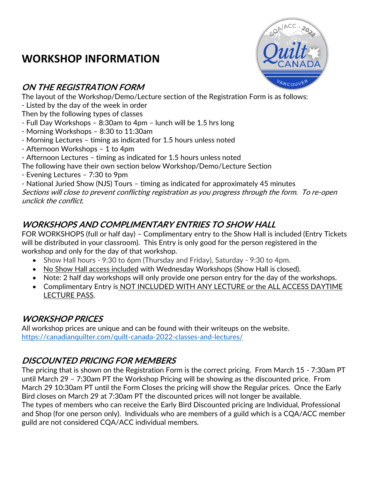# **WORKSHOP INFORMATION**



The layout of the Workshop/Demo/Lecture section of the Registration Form is as follows:

- Listed by the day of the week in order

Then by the following types of classes

- Full Day Workshops 8:30am to 4pm lunch will be 1.5 hrs long
- Morning Workshops 8:30 to 11:30am
- Morning Lectures timing as indicated for 1.5 hours unless noted
- Afternoon Workshops 1 to 4pm
- Afternoon Lectures timing as indicated for 1.5 hours unless noted
- The following have their own section below Workshop/Demo/Lecture Section
- Evening Lectures 7:30 to 9pm
- National Juried Show (NJS) Tours timing as indicated for approximately 45 minutes

Sections will close to prevent conflicting registration as you progress through the form. To re-open unclick the conflict.

# **WORKSHOPS AND COMPLIMENTARY ENTRIES TO SHOW HALL**

FOR WORKSHOPS (full or half day) – Complimentary entry to the Show Hall is included (Entry Tickets will be distributed in your classroom). This Entry is only good for the person registered in the workshop and only for the day of that workshop.

- Show Hall hours 9:30 to 6pm (Thursday and Friday), Saturday 9:30 to 4pm.
- No Show Hall access included with Wednesday Workshops (Show Hall is closed).
- Note: 2 half day workshops will only provide one person entry for the day of the workshops.
- Complimentary Entry is NOT INCLUDED WITH ANY LECTURE or the ALL ACCESS DAYTIME LECTURE PASS.

# **WORKSHOP PRICES**

All workshop prices are unique and can be found with their writeups on the website. [https://canadianquilter.com/quilt-canada-2022-classes-and-lectures/](about:blank)

# **DISCOUNTED PRICING FOR MEMBERS**

The pricing that is shown on the Registration Form is the correct pricing. From March 15 - 7:30am PT until March 29 – 7:30am PT the Workshop Pricing will be showing as the discounted price. From March 29 10:30am PT until the Form Closes the pricing will show the Regular prices. Once the Early Bird closes on March 29 at 7:30am PT the discounted prices will not longer be available. The types of members who can receive the Early Bird Discounted pricing are Individual, Professional and Shop (for one person only). Individuals who are members of a guild which is a CQA/ACC member guild are not considered CQA/ACC individual members.

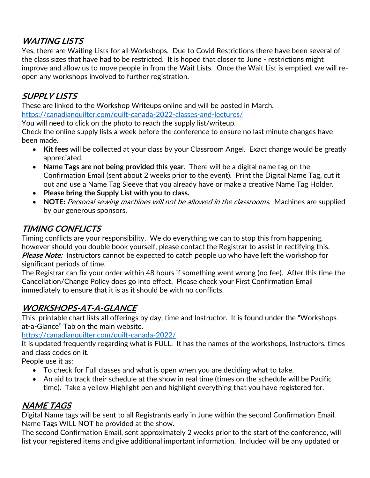# **WAITING LISTS**

Yes, there are Waiting Lists for all Workshops. Due to Covid Restrictions there have been several of the class sizes that have had to be restricted. It is hoped that closer to June - restrictions might improve and allow us to move people in from the Wait Lists. Once the Wait List is emptied, we will reopen any workshops involved to further registration.

#### **SUPPLY LISTS**

These are linked to the Workshop Writeups online and will be posted in March. [https://canadianquilter.com/quilt-canada-2022-classes-and-lectures/](about:blank)

You will need to click on the photo to reach the supply list/writeup.

Check the online supply lists a week before the conference to ensure no last minute changes have been made.

- **Kit fees** will be collected at your class by your Classroom Angel. Exact change would be greatly appreciated.
- **Name Tags are not being provided this year**. There will be a digital name tag on the Confirmation Email (sent about 2 weeks prior to the event). Print the Digital Name Tag, cut it out and use a Name Tag Sleeve that you already have or make a creative Name Tag Holder.
- **Please bring the Supply List with you to class.**
- **NOTE:** Personal sewing machines will not be allowed in the classrooms. Machines are supplied by our generous sponsors.

#### **TIMING CONFLICTS**

Timing conflicts are your responsibility. We do everything we can to stop this from happening, however should you double book yourself, please contact the Registrar to assist in rectifying this. **Please Note:** Instructors cannot be expected to catch people up who have left the workshop for significant periods of time.

The Registrar can fix your order within 48 hours if something went wrong (no fee). After this time the Cancellation/Change Policy does go into effect. Please check your First Confirmation Email immediately to ensure that it is as it should be with no conflicts.

#### **WORKSHOPS-AT-A-GLANCE**

This printable chart lists all offerings by day, time and Instructor. It is found under the "Workshopsat-a-Glance" Tab on the main website.

[https://canadianquilter.com/quilt-canada-2022/](about:blank)

It is updated frequently regarding what is FULL. It has the names of the workshops, Instructors, times and class codes on it.

People use it as:

- To check for Full classes and what is open when you are deciding what to take.
- An aid to track their schedule at the show in real time (times on the schedule will be Pacific time). Take a yellow Highlight pen and highlight everything that you have registered for.

# **NAME TAGS**

Digital Name tags will be sent to all Registrants early in June within the second Confirmation Email. Name Tags WILL NOT be provided at the show.

The second Confirmation Email, sent approximately 2 weeks prior to the start of the conference, will list your registered items and give additional important information. Included will be any updated or